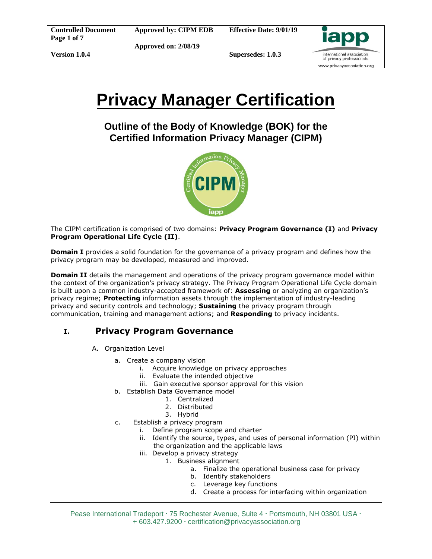**Supersedes: 1.0.3**



# **Privacy Manager Certification**

**Outline of the Body of Knowledge (BOK) for the Certified Information Privacy Manager (CIPM)**



The CIPM certification is comprised of two domains: **Privacy Program Governance (I)** and **Privacy Program Operational Life Cycle (II)**.

**Domain I** provides a solid foundation for the governance of a privacy program and defines how the privacy program may be developed, measured and improved.

**Domain II** details the management and operations of the privacy program governance model within the context of the organization's privacy strategy. The Privacy Program Operational Life Cycle domain is built upon a common industry-accepted framework of: **Assessing** or analyzing an organization's privacy regime; **Protecting** information assets through the implementation of industry-leading privacy and security controls and technology; **Sustaining** the privacy program through communication, training and management actions; and **Responding** to privacy incidents.

## **I. Privacy Program Governance**

- A. Organization Level
	- a. Create a company vision
		- i. Acquire knowledge on privacy approaches
		- ii. Evaluate the intended objective
		- iii. Gain executive sponsor approval for this vision
	- b. Establish Data Governance model
		- 1. Centralized
		- 2. Distributed
		- 3. Hybrid
	- c. Establish a privacy program
		- i. Define program scope and charter
		- ii. Identify the source, types, and uses of personal information (PI) within the organization and the applicable laws
		- iii. Develop a privacy strategy
			- 1. Business alignment
				- a. Finalize the operational business case for privacy
				- b. Identify stakeholders
				- c. Leverage key functions
				- d. Create a process for interfacing within organization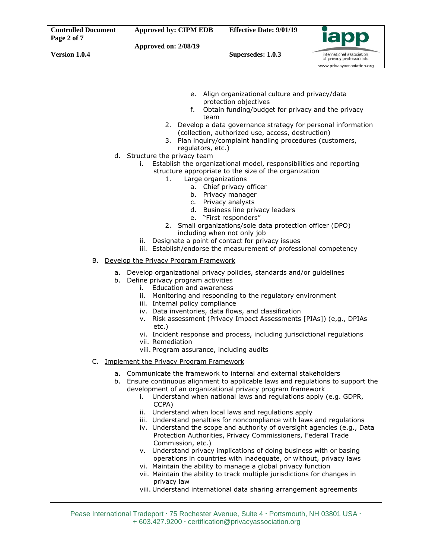**Supersedes: 1.0.3**



- e. Align organizational culture and privacy/data protection objectives
- f. Obtain funding/budget for privacy and the privacy team
- 2. Develop a data governance strategy for personal information (collection, authorized use, access, destruction)
- 3. Plan inquiry/complaint handling procedures (customers, regulators, etc.)
- d. Structure the privacy team
	- i. Establish the organizational model, responsibilities and reporting structure appropriate to the size of the organization
		- 1. Large organizations
			- a. Chief privacy officer
			- b. Privacy manager
			- c. Privacy analysts
			- d. Business line privacy leaders
			- e. "First responders"
		- 2. Small organizations/sole data protection officer (DPO) including when not only job
	- ii. Designate a point of contact for privacy issues
	- iii. Establish/endorse the measurement of professional competency

#### B. Develop the Privacy Program Framework

- a. Develop organizational privacy policies, standards and/or guidelines
- b. Define privacy program activities
	- i. Education and awareness
	- ii. Monitoring and responding to the regulatory environment
	- iii. Internal policy compliance
	- iv. Data inventories, data flows, and classification
	- v. Risk assessment (Privacy Impact Assessments [PIAs]) (e,g., DPIAs etc.)
	- vi. Incident response and process, including jurisdictional regulations
	- vii. Remediation
	- viii. Program assurance, including audits
- C. Implement the Privacy Program Framework
	- a. Communicate the framework to internal and external stakeholders
	- b. Ensure continuous alignment to applicable laws and regulations to support the development of an organizational privacy program framework
		- i. Understand when national laws and regulations apply (e.g. GDPR, CCPA)
		- ii. Understand when local laws and regulations apply
		- iii. Understand penalties for noncompliance with laws and regulations
		- iv. Understand the scope and authority of oversight agencies (e.g., Data Protection Authorities, Privacy Commissioners, Federal Trade Commission, etc.)
		- v. Understand privacy implications of doing business with or basing operations in countries with inadequate, or without, privacy laws
		- vi. Maintain the ability to manage a global privacy function
		- vii. Maintain the ability to track multiple jurisdictions for changes in privacy law
		- viii. Understand international data sharing arrangement agreements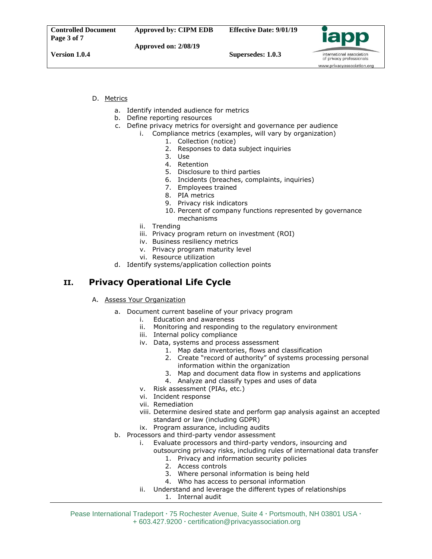

**Supersedes: 1.0.3**

international association of privacy professionals www.privacyassociation.org

#### D. Metrics

- a. Identify intended audience for metrics
- b. Define reporting resources
- c. Define privacy metrics for oversight and governance per audience
	- i. Compliance metrics (examples, will vary by organization)
		- 1. Collection (notice)
		- 2. Responses to data subject inquiries
		- 3. Use
		- 4. Retention
		- 5. Disclosure to third parties
		- 6. Incidents (breaches, complaints, inquiries)
		- 7. Employees trained
		- 8. PIA metrics
		- 9. Privacy risk indicators
		- 10. Percent of company functions represented by governance mechanisms
		- ii. Trending
		- iii. Privacy program return on investment (ROI)
		- iv. Business resiliency metrics
		- v. Privacy program maturity level
		- vi. Resource utilization
- d. Identify systems/application collection points

### **II. Privacy Operational Life Cycle**

- A. Assess Your Organization
	- a. Document current baseline of your privacy program
		- i. Education and awareness
			- ii. Monitoring and responding to the regulatory environment
			- iii. Internal policy compliance
			- iv. Data, systems and process assessment
				- 1. Map data inventories, flows and classification
				- 2. Create "record of authority" of systems processing personal information within the organization
				- 3. Map and document data flow in systems and applications
				- 4. Analyze and classify types and uses of data
			- v. Risk assessment (PIAs, etc.)
			- vi. Incident response
			- vii. Remediation
			- viii. Determine desired state and perform gap analysis against an accepted standard or law (including GDPR)
			- ix. Program assurance, including audits
	- b. Processors and third-party vendor assessment
		- i. Evaluate processors and third-party vendors, insourcing and
			- outsourcing privacy risks, including rules of international data transfer
				- 1. Privacy and information security policies
				- 2. Access controls
				- 3. Where personal information is being held
				- 4. Who has access to personal information
		- ii. Understand and leverage the different types of relationships 1. Internal audit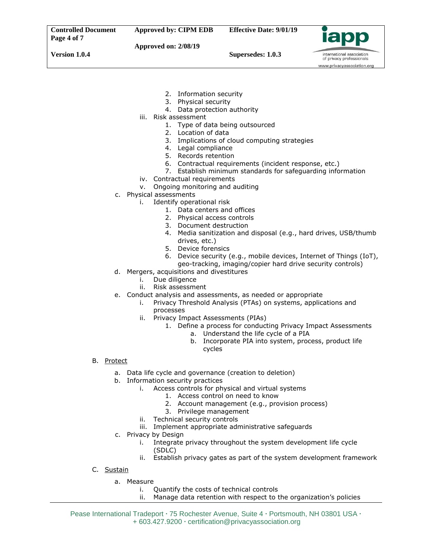

international association of privacy professionals www.privacyassociation.org

**Version 1.0.4**

**Approved on: 2/08/19 Supersedes: 1.0.3**

- 
- 2. Information security
- 3. Physical security
- 4. Data protection authority
- iii. Risk assessment
	- 1. Type of data being outsourced
	- 2. Location of data
	- 3. Implications of cloud computing strategies
	- 4. Legal compliance
	- 5. Records retention
	- 6. Contractual requirements (incident response, etc.)
	- 7. Establish minimum standards for safeguarding information
- iv. Contractual requirements
- v. Ongoing monitoring and auditing
- c. Physical assessments
	- i. Identify operational risk
		- 1. Data centers and offices
		- 2. Physical access controls
		- 3. Document destruction
		- 4. Media sanitization and disposal (e.g., hard drives, USB/thumb drives, etc.)
		- 5. Device forensics
		- 6. Device security (e.g., mobile devices, Internet of Things (IoT), geo-tracking, imaging/copier hard drive security controls)
- d. Mergers, acquisitions and divestitures
	- i. Due diligence
	- ii. Risk assessment
- e. Conduct analysis and assessments, as needed or appropriate
	- i. Privacy Threshold Analysis (PTAs) on systems, applications and processes
	- ii. Privacy Impact Assessments (PIAs)
		- 1. Define a process for conducting Privacy Impact Assessments
			- a. Understand the life cycle of a PIA
				- b. Incorporate PIA into system, process, product life cycles

- B. Protect
	- a. Data life cycle and governance (creation to deletion)
	- b. Information security practices
		- i. Access controls for physical and virtual systems
			- 1. Access control on need to know
			- 2. Account management (e.g., provision process)
			- 3. Privilege management
			- ii. Technical security controls
		- iii. Implement appropriate administrative safeguards
	- c. Privacy by Design
		- i. Integrate privacy throughout the system development life cycle (SDLC)
		- ii. Establish privacy gates as part of the system development framework
- C. Sustain
	- a. Measure
		- i. Quantify the costs of technical controls
		- ii. Manage data retention with respect to the organization's policies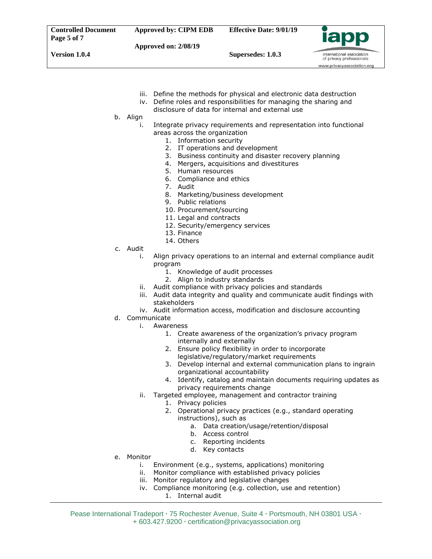iii. Define the methods for physical and electronic data destruction

www.privacyassociation.org

- iv. Define roles and responsibilities for managing the sharing and
	- disclosure of data for internal and external use
- b. Align
	- i. Integrate privacy requirements and representation into functional areas across the organization
		- 1. Information security
		- 2. IT operations and development
		- 3. Business continuity and disaster recovery planning
		- 4. Mergers, acquisitions and divestitures
		- 5. Human resources
		- 6. Compliance and ethics
		- 7. Audit
		- 8. Marketing/business development
		- 9. Public relations
		- 10. Procurement/sourcing
		- 11. Legal and contracts
		- 12. Security/emergency services
		- 13. Finance
		- 14. Others
- c. Audit
	- i. Align privacy operations to an internal and external compliance audit program
		- 1. Knowledge of audit processes
		- 2. Align to industry standards
	- ii. Audit compliance with privacy policies and standards
	- iii. Audit data integrity and quality and communicate audit findings with stakeholders
	- iv. Audit information access, modification and disclosure accounting
- d. Communicate
	- i. Awareness
		- 1. Create awareness of the organization's privacy program internally and externally
		- 2. Ensure policy flexibility in order to incorporate legislative/regulatory/market requirements
		- 3. Develop internal and external communication plans to ingrain organizational accountability
		- 4. Identify, catalog and maintain documents requiring updates as privacy requirements change
	- ii. Targeted employee, management and contractor training
		- 1. Privacy policies
			- 2. Operational privacy practices (e.g., standard operating instructions), such as
				- a. Data creation/usage/retention/disposal
				- b. Access control
				- c. Reporting incidents
				- d. Key contacts
- e. Monitor
	- i. Environment (e.g., systems, applications) monitoring
	- ii. Monitor compliance with established privacy policies
	- iii. Monitor regulatory and legislative changes
	- iv. Compliance monitoring (e.g. collection, use and retention) 1. Internal audit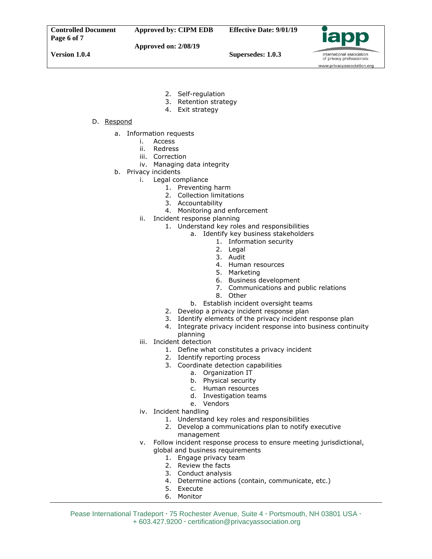

international association

**Version 1.0.4**

**Supersedes: 1.0.3**

of privacy professionals www.privacyassociation.org

- 2. Self-regulation
- 3. Retention strategy
- 4. Exit strategy

#### D. Respond

- a. Information requests
	- i. Access
	- ii. Redress
	- iii. Correction
	- iv. Managing data integrity
- b. Privacy incidents
	- i. Legal compliance
		- 1. Preventing harm
			- 2. Collection limitations
			- 3. Accountability
		- 4. Monitoring and enforcement
	- ii. Incident response planning
		- 1. Understand key roles and responsibilities
			- a. Identify key business stakeholders
				- 1. Information security
				- 2. Legal
				- 3. Audit
				- 4. Human resources
				- 5. Marketing
				- 6. Business development
				- 7. Communications and public relations
				- 8. Other
			- b. Establish incident oversight teams
		- 2. Develop a privacy incident response plan
		- 3. Identify elements of the privacy incident response plan
		- 4. Integrate privacy incident response into business continuity planning
	- iii. Incident detection
		- 1. Define what constitutes a privacy incident
		- 2. Identify reporting process
		- 3. Coordinate detection capabilities
			- a. Organization IT
			- b. Physical security
			- c. Human resources
			- d. Investigation teams
			- e. Vendors
	- iv. Incident handling
		- 1. Understand key roles and responsibilities
		- 2. Develop a communications plan to notify executive management
	- v. Follow incident response process to ensure meeting jurisdictional,
		- global and business requirements
			- 1. Engage privacy team
			- 2. Review the facts
			- 3. Conduct analysis
			- 4. Determine actions (contain, communicate, etc.)
			- 5. Execute
			- 6. Monitor